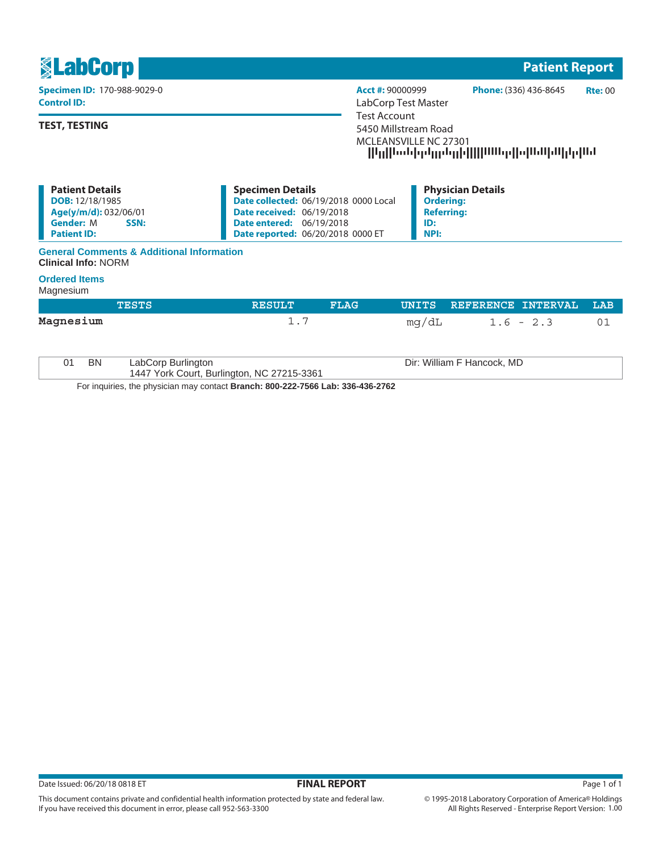

### **General Comments & Additional Information Clinical Info:** NORM

#### **Ordered Items**

## Magnesium

|                                                                                        | <b>TESTS</b>                                                     | <b>RESULT</b> | <b>FLAG</b> | UNITS | REFERENCE INTERVAL         | LAB |
|----------------------------------------------------------------------------------------|------------------------------------------------------------------|---------------|-------------|-------|----------------------------|-----|
| Magnesium                                                                              |                                                                  | 1.7           |             | mg/dL | $1.6 - 2.3$                | 01  |
| BN<br>01                                                                               | LabCorp Burlington<br>1447 York Court, Burlington, NC 27215-3361 |               |             |       | Dir: William F Hancock, MD |     |
| For inquiries, the physician may contact <b>Branch: 800-222-7566 Lab: 336-436-2762</b> |                                                                  |               |             |       |                            |     |

For inquiries, the physician may contact **Branch: 800-222-7566 Lab: 336-436-2762**

This document contains private and confidential health information protected by state and federal law.

If you have received this document in error, please call 952-563-3300